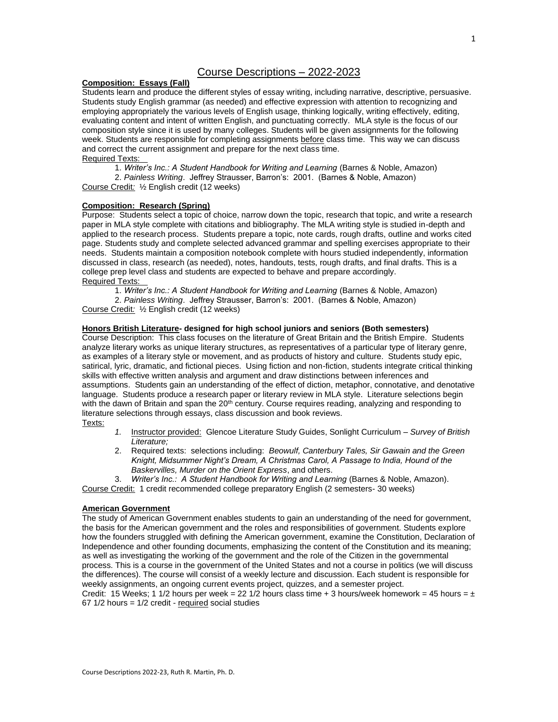# Course Descriptions – 2022-2023

# **Composition: Essays (Fall)**

Students learn and produce the different styles of essay writing, including narrative, descriptive, persuasive. Students study English grammar (as needed) and effective expression with attention to recognizing and employing appropriately the various levels of English usage, thinking logically, writing effectively, editing, evaluating content and intent of written English, and punctuating correctly. MLA style is the focus of our composition style since it is used by many colleges. Students will be given assignments for the following week. Students are responsible for completing assignments before class time. This way we can discuss and correct the current assignment and prepare for the next class time.

# Required Texts:

1. *Writer's Inc.: A Student Handbook for Writing and Learning* (Barnes & Noble, Amazon)

2. *Painless Writing*. Jeffrey Strausser, Barron's: 2001. (Barnes & Noble, Amazon) Course Credit*:* ½ English credit (12 weeks)

# **Composition: Research (Spring)**

Purpose: Students select a topic of choice, narrow down the topic, research that topic, and write a research paper in MLA style complete with citations and bibliography. The MLA writing style is studied in-depth and applied to the research process. Students prepare a topic, note cards, rough drafts, outline and works cited page. Students study and complete selected advanced grammar and spelling exercises appropriate to their needs. Students maintain a composition notebook complete with hours studied independently, information discussed in class, research (as needed), notes, handouts, tests, rough drafts, and final drafts. This is a college prep level class and students are expected to behave and prepare accordingly. Required Texts:

1. *Writer's Inc.: A Student Handbook for Writing and Learning* (Barnes & Noble, Amazon)

2. *Painless Writing*. Jeffrey Strausser, Barron's: 2001. (Barnes & Noble, Amazon) Course Credit*:* ½ English credit (12 weeks)

# **Honors British Literature- designed for high school juniors and seniors (Both semesters)**

Course Description: This class focuses on the literature of Great Britain and the British Empire. Students analyze literary works as unique literary structures, as representatives of a particular type of literary genre, as examples of a literary style or movement, and as products of history and culture. Students study epic, satirical, lyric, dramatic, and fictional pieces. Using fiction and non-fiction, students integrate critical thinking skills with effective written analysis and argument and draw distinctions between inferences and assumptions. Students gain an understanding of the effect of diction, metaphor, connotative, and denotative language. Students produce a research paper or literary review in MLA style. Literature selections begin with the dawn of Britain and span the  $20<sup>th</sup>$  century. Course requires reading, analyzing and responding to literature selections through essays, class discussion and book reviews. Texts:

- *1.* Instructor provided: Glencoe Literature Study Guides, Sonlight Curriculum *– Survey of British Literature;*
- 2. Required texts: selections including: *Beowulf, Canterbury Tales, Sir Gawain and the Green Knight, Midsummer Night's Dream, A Christmas Carol, A Passage to India, Hound of the Baskervilles, Murder on the Orient Express*, and others.

3. *Writer's Inc.: A Student Handbook for Writing and Learning* (Barnes & Noble, Amazon). Course Credit: 1 credit recommended college preparatory English (2 semesters- 30 weeks)

# **American Government**

The study of American Government enables students to gain an understanding of the need for government, the basis for the American government and the roles and responsibilities of government. Students explore how the founders struggled with defining the American government, examine the Constitution, Declaration of Independence and other founding documents, emphasizing the content of the Constitution and its meaning; as well as investigating the working of the government and the role of the Citizen in the governmental process. This is a course in the government of the United States and not a course in politics (we will discuss the differences). The course will consist of a weekly lecture and discussion. Each student is responsible for weekly assignments, an ongoing current events project, quizzes, and a semester project.

Credit: 15 Weeks; 1 1/2 hours per week = 22 1/2 hours class time + 3 hours/week homework = 45 hours =  $\pm$ 67 1/2 hours = 1/2 credit - required social studies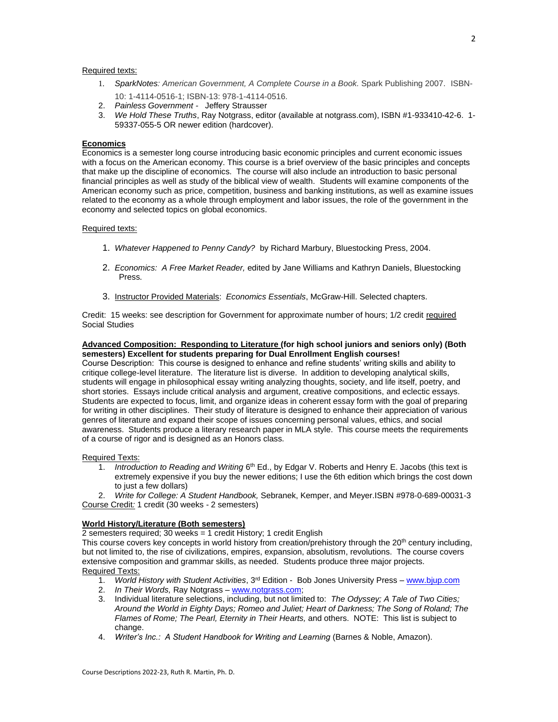# Required texts:

- 1. *SparkNotes: American Government, A Complete Course in a Book.* Spark Publishing 2007. ISBN-10: 1-4114-0516-1; ISBN-13: 978-1-4114-0516.
- 2. *Painless Government -* Jeffery Strausser
- 3. *We Hold These Truths*, Ray Notgrass, editor (available at notgrass.com), ISBN #1-933410-42-6. 1- 59337-055-5 OR newer edition (hardcover).

#### **Economics**

Economics is a semester long course introducing basic economic principles and current economic issues with a focus on the American economy. This course is a brief overview of the basic principles and concepts that make up the discipline of economics. The course will also include an introduction to basic personal financial principles as well as study of the biblical view of wealth. Students will examine components of the American economy such as price, competition, business and banking institutions, as well as examine issues related to the economy as a whole through employment and labor issues, the role of the government in the economy and selected topics on global economics.

# Required texts:

- 1. *Whatever Happened to Penny Candy?* by Richard Marbury, Bluestocking Press, 2004.
- 2. *Economics: A Free Market Reader,* edited by Jane Williams and Kathryn Daniels, Bluestocking Press.
- 3. Instructor Provided Materials: *Economics Essentials*, McGraw-Hill. Selected chapters.

Credit: 15 weeks: see description for Government for approximate number of hours; 1/2 credit required Social Studies

#### **Advanced Composition: Responding to Literature (for high school juniors and seniors only) (Both semesters) Excellent for students preparing for Dual Enrollment English courses!**

Course Description: This course is designed to enhance and refine students' writing skills and ability to critique college-level literature. The literature list is diverse. In addition to developing analytical skills, students will engage in philosophical essay writing analyzing thoughts, society, and life itself, poetry, and short stories. Essays include critical analysis and argument, creative compositions, and eclectic essays. Students are expected to focus, limit, and organize ideas in coherent essay form with the goal of preparing for writing in other disciplines. Their study of literature is designed to enhance their appreciation of various genres of literature and expand their scope of issues concerning personal values, ethics, and social awareness. Students produce a literary research paper in MLA style. This course meets the requirements of a course of rigor and is designed as an Honors class.

#### Required Texts:

1. *Introduction to Reading and Writing* 6<sup>th</sup> Ed., by Edgar V. Roberts and Henry E. Jacobs (this text is extremely expensive if you buy the newer editions; I use the 6th edition which brings the cost down to just a few dollars)

2. *Write for College: A Student Handbook,* Sebranek, Kemper, and Meyer.ISBN #978-0-689-00031-3 Course Credit*:* 1 credit (30 weeks - 2 semesters)

# **World History/Literature (Both semesters)**

2 semesters required; 30 weeks = 1 credit  $H$ istory; 1 credit English

This course covers key concepts in world history from creation/prehistory through the 20<sup>th</sup> century including, but not limited to, the rise of civilizations, empires, expansion, absolutism, revolutions. The course covers extensive composition and grammar skills, as needed. Students produce three major projects. Required Texts:

- 1. *World History with Student Activities*, 3rd Edition Bob Jones University Press [www.bjup.com](http://www.bjup.com/)
- 2. *In Their Words,* Ray Notgrass [www.notgrass.com;](http://www.notgrass.com/)
- 3. Individual literature selections, including, but not limited to: *The Odyssey; A Tale of Two Cities; Around the World in Eighty Days; Romeo and Juliet; Heart of Darkness; The Song of Roland; The Flames of Rome; The Pearl, Eternity in Their Hearts,* and others. NOTE: This list is subject to change.
- 4. *Writer's Inc.: A Student Handbook for Writing and Learning* (Barnes & Noble, Amazon).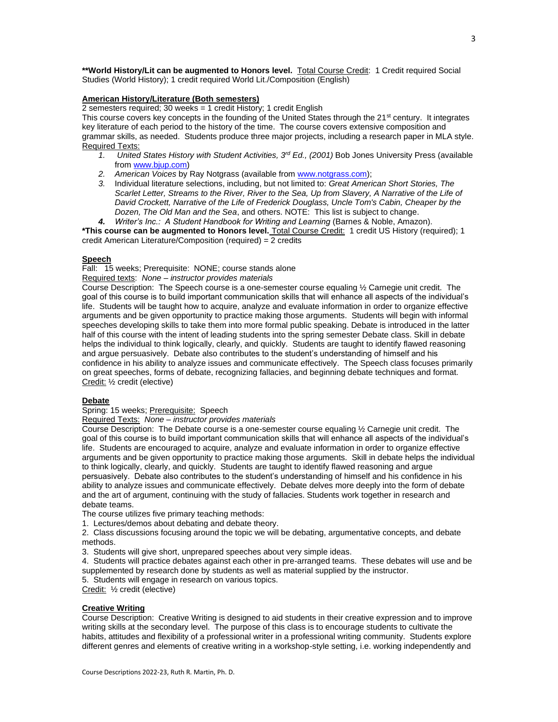**\*\*World History/Lit can be augmented to Honors level.** Total Course Credit: 1 Credit required Social Studies (World History); 1 credit required World Lit./Composition (English)

# **American History/Literature (Both semesters)**

2 semesters required; 30 weeks  $=$  1 credit History; 1 credit English

This course covers key concepts in the founding of the United States through the 21<sup>st</sup> century. It integrates key literature of each period to the history of the time. The course covers extensive composition and grammar skills, as needed. Students produce three major projects, including a research paper in MLA style. Required Texts:

- *1. United States History with Student Activities, 3rd Ed., (2001)* Bob Jones University Press (available fro[m www.bjup.com\)](http://www.bjup.com/)
- *2. American Voices* by Ray Notgrass (available from [www.notgrass.com\)](http://www.notgrass.com/);
- *3.* Individual literature selections, including, but not limited to: *Great American Short Stories, The Scarlet Letter, Streams to the River, River to the Sea, Up from Slavery, A Narrative of the Life of David Crockett, Narrative of the Life of Frederick Douglass, Uncle Tom's Cabin, Cheaper by the Dozen, The Old Man and the Sea*, and others. NOTE: This list is subject to change.
- *4. Writer's Inc.: A Student Handbook for Writing and Learning* (Barnes & Noble, Amazon).

**\*This course can be augmented to Honors level.** Total Course Credit: 1 credit US History (required); 1 credit American Literature/Composition (required) = 2 credits

# **Speech**

Fall: 15 weeks; Prerequisite: NONE; course stands alone

Required texts: *None – instructor provides materials*

Course Description: The Speech course is a one-semester course equaling ½ Carnegie unit credit. The goal of this course is to build important communication skills that will enhance all aspects of the individual's life. Students will be taught how to acquire, analyze and evaluate information in order to organize effective arguments and be given opportunity to practice making those arguments. Students will begin with informal speeches developing skills to take them into more formal public speaking. Debate is introduced in the latter half of this course with the intent of leading students into the spring semester Debate class. Skill in debate helps the individual to think logically, clearly, and quickly. Students are taught to identify flawed reasoning and argue persuasively. Debate also contributes to the student's understanding of himself and his confidence in his ability to analyze issues and communicate effectively. The Speech class focuses primarily on great speeches, forms of debate, recognizing fallacies, and beginning debate techniques and format. Credit: ½ credit (elective)

#### **Debate**

Spring: 15 weeks; Prerequisite: Speech

Required Texts: *None – instructor provides materials*

Course Description: The Debate course is a one-semester course equaling ½ Carnegie unit credit. The goal of this course is to build important communication skills that will enhance all aspects of the individual's life. Students are encouraged to acquire, analyze and evaluate information in order to organize effective arguments and be given opportunity to practice making those arguments. Skill in debate helps the individual to think logically, clearly, and quickly. Students are taught to identify flawed reasoning and argue persuasively. Debate also contributes to the student's understanding of himself and his confidence in his ability to analyze issues and communicate effectively. Debate delves more deeply into the form of debate and the art of argument, continuing with the study of fallacies. Students work together in research and debate teams.

The course utilizes five primary teaching methods:

1. Lectures/demos about debating and debate theory.

2. Class discussions focusing around the topic we will be debating, argumentative concepts, and debate methods.

3. Students will give short, unprepared speeches about very simple ideas.

4. Students will practice debates against each other in pre-arranged teams. These debates will use and be supplemented by research done by students as well as material supplied by the instructor.

5. Students will engage in research on various topics.

Credit: ½ credit (elective)

#### **Creative Writing**

Course Description: Creative Writing is designed to aid students in their creative expression and to improve writing skills at the secondary level. The purpose of this class is to encourage students to cultivate the habits, attitudes and flexibility of a professional writer in a professional writing community. Students explore different genres and elements of creative writing in a workshop-style setting, i.e. working independently and